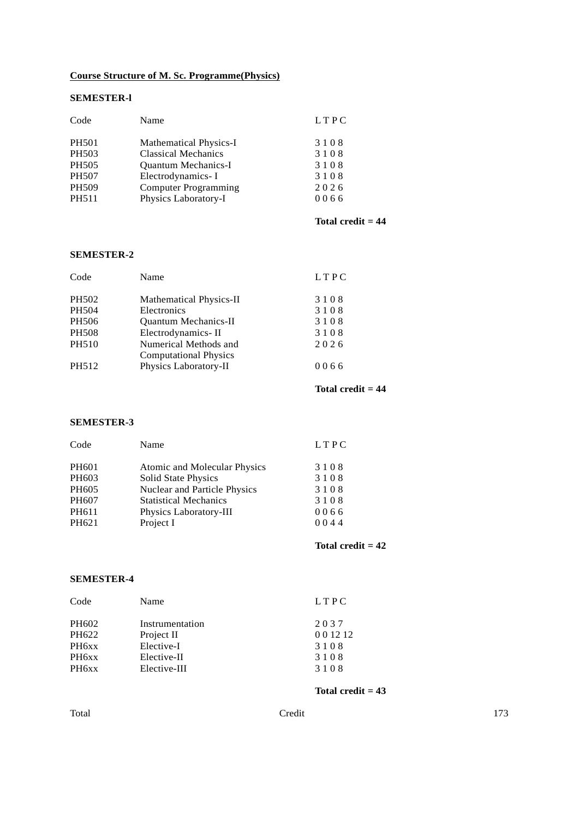# **Course Structure of M. Sc. Programme(Physics)**

# **SEMESTER-l**

| Code         | Name                          | LTPC |
|--------------|-------------------------------|------|
| <b>PH501</b> | <b>Mathematical Physics-I</b> | 3108 |
| PH503        | <b>Classical Mechanics</b>    | 3108 |
| PH505        | <b>Ouantum Mechanics-I</b>    | 3108 |
| <b>PH507</b> | Electrodynamics-I             | 3108 |
| PH509        | <b>Computer Programming</b>   | 2026 |
| PH511        | Physics Laboratory-I          | 0066 |

# **Total credit = 44**

# **SEMESTER-2**

| Code         | Name                                                  | LTPC |
|--------------|-------------------------------------------------------|------|
| PH502        | <b>Mathematical Physics-II</b>                        | 3108 |
| PH504        | Electronics                                           | 3108 |
| PH506        | <b>Quantum Mechanics-II</b>                           | 3108 |
| <b>PH508</b> | Electrodynamics-II                                    | 3108 |
| <b>PH510</b> | Numerical Methods and<br><b>Computational Physics</b> | 2026 |
| PH512        | Physics Laboratory-II                                 | 0066 |

# **Total credit = 44**

# **SEMESTER-3**

| Code              | Name                         | <b>LTPC</b> |  |
|-------------------|------------------------------|-------------|--|
| PH <sub>601</sub> | Atomic and Molecular Physics | 3108        |  |
| PH603             | Solid State Physics          | 3108        |  |
| PH605             | Nuclear and Particle Physics | 3108        |  |
| PH607             | <b>Statistical Mechanics</b> | 3108        |  |
| PH611             | Physics Laboratory-III       | 0066        |  |
| PH621             | Project I                    | 0044        |  |
|                   |                              |             |  |

**Total credit = 42**

# **SEMESTER-4**

| Code  | Name            | LTPC        |
|-------|-----------------|-------------|
| PH602 | Instrumentation | 2037        |
| PH622 | Project II      | 0 0 1 2 1 2 |
| PH6xx | Elective-I      | 3108        |
| PH6xx | Elective-II     | 3108        |
| PH6xx | Elective-III    | 3108        |

**Total credit = 43**

| I<br>×<br>۰.<br>.<br>×<br>۰,<br>× |
|-----------------------------------|
|-----------------------------------|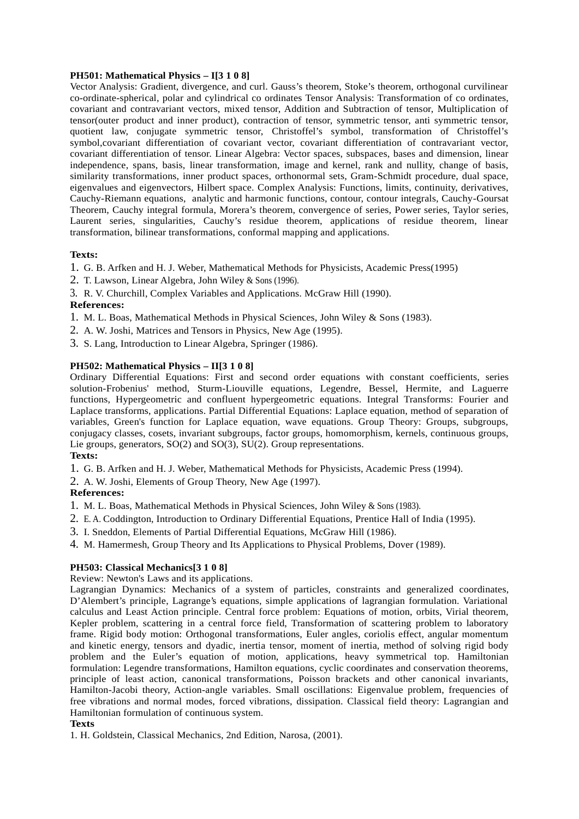### **PH501: Mathematical Physics – I[3 1 0 8]**

Vector Analysis: Gradient, divergence, and curl. Gauss's theorem, Stoke's theorem, orthogonal curvilinear co-ordinate-spherical, polar and cylindrical co ordinates Tensor Analysis: Transformation of co ordinates, covariant and contravariant vectors, mixed tensor, Addition and Subtraction of tensor, Multiplication of tensor(outer product and inner product), contraction of tensor, symmetric tensor, anti symmetric tensor, quotient law, conjugate symmetric tensor, Christoffel's symbol, transformation of Christoffel's symbol,covariant differentiation of covariant vector, covariant differentiation of contravariant vector, covariant differentiation of tensor. Linear Algebra: Vector spaces, subspaces, bases and dimension, linear independence, spans, basis, linear transformation, image and kernel, rank and nullity, change of basis, similarity transformations, inner product spaces, orthonormal sets, Gram-Schmidt procedure, dual space, eigenvalues and eigenvectors, Hilbert space. Complex Analysis: Functions, limits, continuity, derivatives, Cauchy-Riemann equations, analytic and harmonic functions, contour, contour integrals, Cauchy-Goursat Theorem, Cauchy integral formula, Morera's theorem, convergence of series, Power series, Taylor series, Laurent series, singularities, Cauchy's residue theorem, applications of residue theorem, linear transformation, bilinear transformations, conformal mapping and applications.

# **Texts:**

- 1. G. B. Arfken and H. J. Weber, Mathematical Methods for Physicists, Academic Press(1995)
- 2. T. Lawson, Linear Algebra, John Wiley & Sons (1996).
- 3. R. V. Churchill, Complex Variables and Applications. McGraw Hill (1990).

# **References:**

- 1. M. L. Boas, Mathematical Methods in Physical Sciences, John Wiley & Sons (1983).
- 2. A. W. Joshi, Matrices and Tensors in Physics, New Age (1995).
- 3. S. Lang, Introduction to Linear Algebra, Springer (1986).

# **PH502: Mathematical Physics – II[3 1 0 8]**

Ordinary Differential Equations: First and second order equations with constant coefficients, series solution-Frobenius' method, Sturm-Liouville equations, Legendre, Bessel, Hermite, and Laguerre functions, Hypergeometric and confluent hypergeometric equations. Integral Transforms: Fourier and Laplace transforms, applications. Partial Differential Equations: Laplace equation, method of separation of variables, Green's function for Laplace equation, wave equations. Group Theory: Groups, subgroups, conjugacy classes, cosets, invariant subgroups, factor groups, homomorphism, kernels, continuous groups, Lie groups, generators, SO(2) and SO(3), SU(2). Group representations.

#### **Texts:**

1. G. B. Arfken and H. J. Weber, Mathematical Methods for Physicists, Academic Press (1994).

2. A. W. Joshi, Elements of Group Theory, New Age (1997).

# **References:**

- 1. M. L. Boas, Mathematical Methods in Physical Sciences, John Wiley & Sons (1983).
- 2. E. A. Coddington, Introduction to Ordinary Differential Equations, Prentice Hall of India (1995).
- 3. I. Sneddon, Elements of Partial Differential Equations, McGraw Hill (1986).
- 4. M. Hamermesh, Group Theory and Its Applications to Physical Problems, Dover (1989).

# **PH503: Classical Mechanics[3 1 0 8]**

Review: Newton's Laws and its applications.

Lagrangian Dynamics: Mechanics of a system of particles, constraints and generalized coordinates, D'Alembert's principle, Lagrange's equations, simple applications of lagrangian formulation. Variational calculus and Least Action principle. Central force problem: Equations of motion, orbits, Virial theorem, Kepler problem, scattering in a central force field, Transformation of scattering problem to laboratory frame. Rigid body motion: Orthogonal transformations, Euler angles, coriolis effect, angular momentum and kinetic energy, tensors and dyadic, inertia tensor, moment of inertia, method of solving rigid body problem and the Euler's equation of motion, applications, heavy symmetrical top. Hamiltonian formulation: Legendre transformations, Hamilton equations, cyclic coordinates and conservation theorems, principle of least action, canonical transformations, Poisson brackets and other canonical invariants, Hamilton-Jacobi theory, Action-angle variables. Small oscillations: Eigenvalue problem, frequencies of free vibrations and normal modes, forced vibrations, dissipation. Classical field theory: Lagrangian and Hamiltonian formulation of continuous system.

#### **Texts**

1. H. Goldstein, Classical Mechanics, 2nd Edition, Narosa, (2001).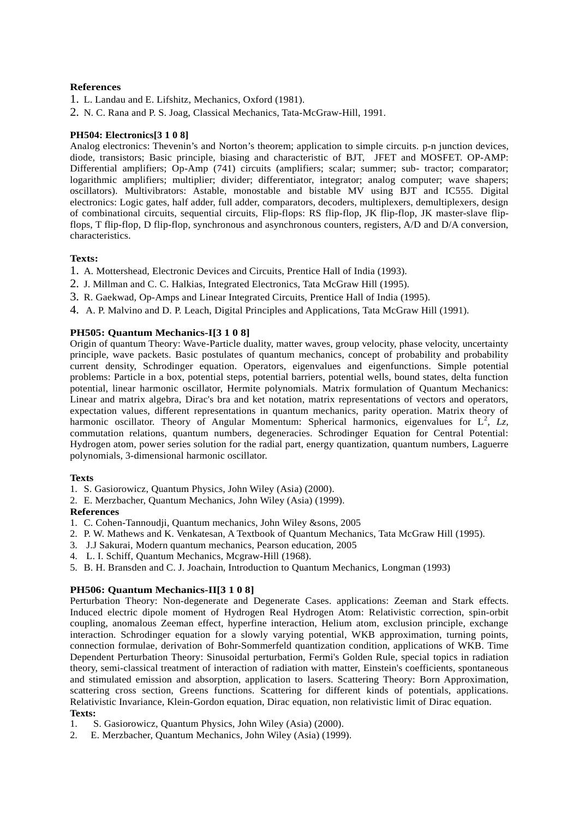# **References**

- 1. L. Landau and E. Lifshitz, Mechanics, Oxford (1981).
- 2. N. C. Rana and P. S. Joag, Classical Mechanics, Tata-McGraw-Hill, 1991.

# **PH504: Electronics[3 1 0 8]**

Analog electronics: Thevenin's and Norton's theorem; application to simple circuits. p-n junction devices, diode, transistors; Basic principle, biasing and characteristic of BJT, JFET and MOSFET. OP-AMP: Differential amplifiers; Op-Amp (741) circuits (amplifiers; scalar; summer; sub- tractor; comparator; logarithmic amplifiers; multiplier; divider; differentiator, integrator; analog computer; wave shapers; oscillators). Multivibrators: Astable, monostable and bistable MV using BJT and IC555. Digital electronics: Logic gates, half adder, full adder, comparators, decoders, multiplexers, demultiplexers, design of combinational circuits, sequential circuits, Flip-flops: RS flip-flop, JK flip-flop, JK master-slave flipflops, T flip-flop, D flip-flop, synchronous and asynchronous counters, registers, A/D and D/A conversion, characteristics.

# **Texts:**

- 1. A. Mottershead, Electronic Devices and Circuits, Prentice Hall of India (1993).
- 2. J. Millman and C. C. Halkias, Integrated Electronics, Tata McGraw Hill (1995).
- 3. R. Gaekwad, Op-Amps and Linear Integrated Circuits, Prentice Hall of India (1995).
- 4. A. P. Malvino and D. P. Leach, Digital Principles and Applications, Tata McGraw Hill (1991).

# **PH505: Quantum Mechanics-I[3 1 0 8]**

Origin of quantum Theory: Wave-Particle duality, matter waves, group velocity, phase velocity, uncertainty principle, wave packets. Basic postulates of quantum mechanics, concept of probability and probability current density, Schrodinger equation. Operators, eigenvalues and eigenfunctions. Simple potential problems: Particle in a box, potential steps, potential barriers, potential wells, bound states, delta function potential, linear harmonic oscillator, Hermite polynomials. Matrix formulation of Quantum Mechanics: Linear and matrix algebra, Dirac's bra and ket notation, matrix representations of vectors and operators, expectation values, different representations in quantum mechanics, parity operation. Matrix theory of harmonic oscillator. Theory of Angular Momentum: Spherical harmonics, eigenvalues for L<sup>2</sup>, Lz, commutation relations, quantum numbers, degeneracies. Schrodinger Equation for Central Potential: Hydrogen atom, power series solution for the radial part, energy quantization, quantum numbers, Laguerre polynomials, 3-dimensional harmonic oscillator.

# **Texts**

- 1. S. Gasiorowicz, Quantum Physics, John Wiley (Asia) (2000).
- 2. E. Merzbacher, Quantum Mechanics, John Wiley (Asia) (1999).

# **References**

- 1. C. Cohen-Tannoudji, Quantum mechanics, John Wiley &sons, 2005
- 2. P. W. Mathews and K. Venkatesan, A Textbook of Quantum Mechanics, Tata McGraw Hill (1995).
- 3. J.J Sakurai, Modern quantum mechanics, Pearson education, 2005
- 4. L. I. Schiff, Quantum Mechanics, Mcgraw-Hill (1968).
- 5. B. H. Bransden and C. J. Joachain, Introduction to Quantum Mechanics, Longman (1993)

# **PH506: Quantum Mechanics-II[3 1 0 8]**

Perturbation Theory: Non-degenerate and Degenerate Cases. applications: Zeeman and Stark effects. Induced electric dipole moment of Hydrogen Real Hydrogen Atom: Relativistic correction, spin-orbit coupling, anomalous Zeeman effect, hyperfine interaction, Helium atom, exclusion principle, exchange interaction. Schrodinger equation for a slowly varying potential, WKB approximation, turning points, connection formulae, derivation of Bohr-Sommerfeld quantization condition, applications of WKB. Time Dependent Perturbation Theory: Sinusoidal perturbation, Fermi's Golden Rule, special topics in radiation theory, semi-classical treatment of interaction of radiation with matter, Einstein's coefficients, spontaneous and stimulated emission and absorption, application to lasers. Scattering Theory: Born Approximation, scattering cross section, Greens functions. Scattering for different kinds of potentials, applications. Relativistic Invariance, Klein-Gordon equation, Dirac equation, non relativistic limit of Dirac equation. **Texts:**

- 1. S. Gasiorowicz, Quantum Physics, John Wiley (Asia) (2000).
- 2. E. Merzbacher, Quantum Mechanics, John Wiley (Asia) (1999).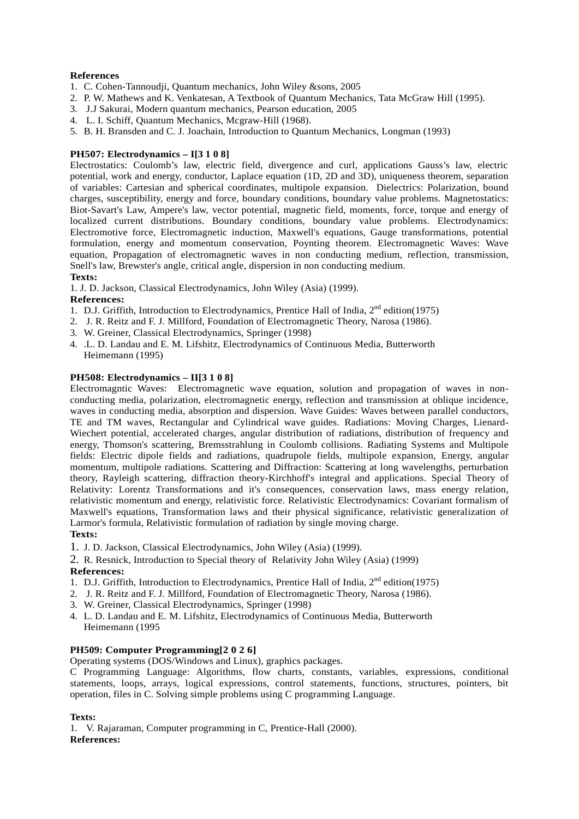# **References**

- 1. C. Cohen-Tannoudji, Quantum mechanics, John Wiley &sons, 2005
- 2. P. W. Mathews and K. Venkatesan, A Textbook of Quantum Mechanics, Tata McGraw Hill (1995).
- 3. J.J Sakurai, Modern quantum mechanics, Pearson education, 2005
- 4. L. I. Schiff, Quantum Mechanics, Mcgraw-Hill (1968).
- 5. B. H. Bransden and C. J. Joachain, Introduction to Quantum Mechanics, Longman (1993)

# **PH507: Electrodynamics – I[3 1 0 8]**

Electrostatics: Coulomb's law, electric field, divergence and curl, applications Gauss's law, electric potential, work and energy, conductor, Laplace equation (1D, 2D and 3D), uniqueness theorem, separation of variables: Cartesian and spherical coordinates, multipole expansion. Dielectrics: Polarization, bound charges, susceptibility, energy and force, boundary conditions, boundary value problems. Magnetostatics: Biot-Savart's Law, Ampere's law, vector potential, magnetic field, moments, force, torque and energy of localized current distributions. Boundary conditions, boundary value problems. Electrodynamics: Electromotive force, Electromagnetic induction, Maxwell's equations, Gauge transformations, potential formulation, energy and momentum conservation, Poynting theorem. Electromagnetic Waves: Wave equation, Propagation of electromagnetic waves in non conducting medium, reflection, transmission, Snell's law, Brewster's angle, critical angle, dispersion in non conducting medium. **Texts:**

1. J. D. Jackson, Classical Electrodynamics, John Wiley (Asia) (1999).

# **References:**

- 1. D.J. Griffith, Introduction to Electrodynamics, Prentice Hall of India,  $2<sup>nd</sup>$  edition(1975)
- 2. J. R. Reitz and F. J. Millford, Foundation of Electromagnetic Theory, Narosa (1986).
- 3. W. Greiner, Classical Electrodynamics, Springer (1998)
- 4. .L. D. Landau and E. M. Lifshitz, Electrodynamics of Continuous Media, Butterworth Heimemann (1995)

# **PH508: Electrodynamics – II[3 1 0 8]**

Electromagntic Waves: Electromagnetic wave equation, solution and propagation of waves in non conducting media, polarization, electromagnetic energy, reflection and transmission at oblique incidence, waves in conducting media, absorption and dispersion. Wave Guides: Waves between parallel conductors, TE and TM waves, Rectangular and Cylindrical wave guides. Radiations: Moving Charges, Lienard- Wiechert potential, accelerated charges, angular distribution of radiations, distribution of frequency and energy, Thomson's scattering, Bremsstrahlung in Coulomb collisions. Radiating Systems and Multipole fields: Electric dipole fields and radiations, quadrupole fields, multipole expansion, Energy, angular momentum, multipole radiations. Scattering and Diffraction: Scattering at long wavelengths, perturbation theory, Rayleigh scattering, diffraction theory-Kirchhoff's integral and applications. Special Theory of Relativity: Lorentz Transformations and it's consequences, conservation laws, mass energy relation, relativistic momentum and energy, relativistic force. Relativistic Electrodynamics: Covariant formalism of Maxwell's equations, Transformation laws and their physical significance, relativistic generalization of Larmor's formula, Relativistic formulation of radiation by single moving charge. **Texts:**

1. J. D. Jackson, Classical Electrodynamics, John Wiley (Asia) (1999).

2. R. Resnick, Introduction to Special theory of Relativity John Wiley (Asia) (1999) **References:**

- 1. D.J. Griffith, Introduction to Electrodynamics, Prentice Hall of India,  $2<sup>nd</sup>$  edition(1975)
- 2. J. R. Reitz and F. J. Millford, Foundation of Electromagnetic Theory, Narosa (1986).
- 3. W. Greiner, Classical Electrodynamics, Springer (1998)
- 4. L. D. Landau and E. M. Lifshitz, Electrodynamics of Continuous Media, Butterworth Heimemann (1995

# **PH509: Computer Programming[2 0 2 6]**

Operating systems (DOS/Windows and Linux), graphics packages.

C Programming Language: Algorithms, flow charts, constants, variables, expressions, conditional statements, loops, arrays, logical expressions, control statements, functions, structures, pointers, bit operation, files in C. Solving simple problems using C programming Language.

# **Texts:**

1. V. Rajaraman, Computer programming in C, Prentice-Hall (2000). **References:**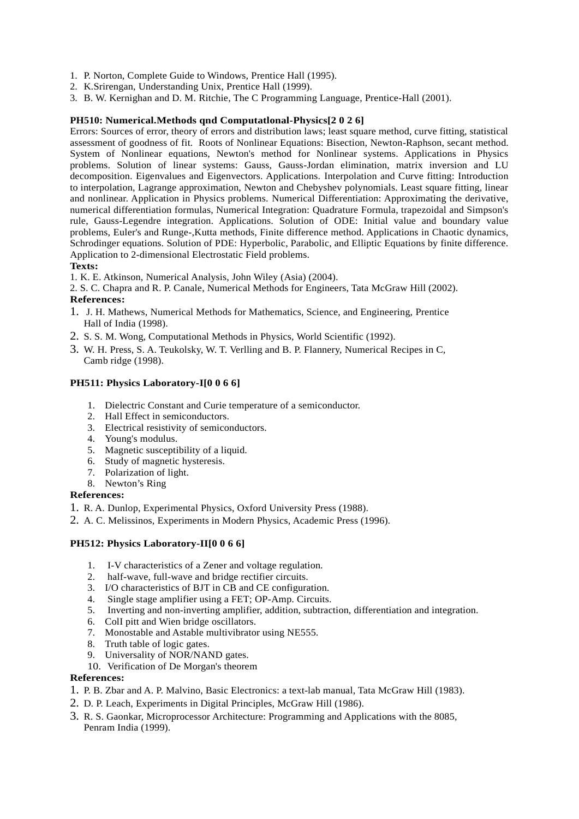- 1. P. Norton, Complete Guide to Windows, Prentice Hall (1995).
- 2. K.Srirengan, Understanding Unix, Prentice Hall (1999).
- 3. B. W. Kernighan and D. M. Ritchie, The C Programming Language, Prentice-Hall (2001).

### **PH510: Numerical.Methods qnd Computatlonal-Physics[2 0 2 6]**

Errors: Sources of error, theory of errors and distribution laws; least square method, curve fitting, statistical assessment of goodness of fit. Roots of Nonlinear Equations: Bisection, Newton-Raphson, secant method. System of Nonlinear equations, Newton's method for Nonlinear systems. Applications in Physics problems. Solution of linear systems: Gauss, Gauss-Jordan elimination, matrix inversion and LU decomposition. Eigenvalues and Eigenvectors. Applications. Interpolation and Curve fitting: Introduction to interpolation, Lagrange approximation, Newton and Chebyshev polynomials. Least square fitting, linear and nonlinear. Application in Physics problems. Numerical Differentiation: Approximating the derivative, numerical differentiation formulas, Numerical Integration: Quadrature Formula, trapezoidal and Simpson's rule, Gauss-Legendre integration. Applications. Solution of ODE: Initial value and boundary value problems, Euler's and Runge-,Kutta methods, Finite difference method. Applications in Chaotic dynamics, Schrodinger equations. Solution of PDE: Hyperbolic, Parabolic, and Elliptic Equations by finite difference. Application to 2-dimensional Electrostatic Field problems.

### **Texts:**

1. K. E. Atkinson, Numerical Analysis, John Wiley (Asia) (2004).

2. S. C. Chapra and R. P. Canale, Numerical Methods for Engineers, Tata McGraw Hill (2002). **References:**

- 1. J. H. Mathews, Numerical Methods for Mathematics, Science, and Engineering, Prentice Hall of India (1998).
- 2. S. S. M. Wong, Computational Methods in Physics, World Scientific (1992).
- 3. W. H. Press, S. A. Teukolsky, W. T. Verlling and B. P. Flannery, Numerical Recipes in C, Camb ridge (1998).

### **PH511: Physics Laboratory-I[0 0 6 6]**

- 1. Dielectric Constant and Curie temperature of a semiconductor.
- 2. Hall Effect in semiconductors.
- 3. Electrical resistivity of semiconductors.
- 4. Young's modulus.
- 5. Magnetic susceptibility of a liquid.
- 6. Study of magnetic hysteresis.
- 7. Polarization of light.
- 8. Newton's Ring

# **References:**

- 1. R. A. Dunlop, Experimental Physics, Oxford University Press (1988).
- 2. A. C. Melissinos, Experiments in Modern Physics, Academic Press (1996).

### **PH512: Physics Laboratory-II[0 0 6 6]**

- 1. I-V characteristics of a Zener and voltage regulation.
- 2. half-wave, full-wave and bridge rectifier circuits.
- 3. I/O characteristics of BJT in CB and CE configuration.
- 4. Single stage amplifier using a FET; OP-Amp. Circuits.
- 5. Inverting and non-inverting amplifier, addition, subtraction, differentiation and integration.
- 6. ColI pitt and Wien bridge oscillators.
- 7. Monostable and Astable multivibrator using NE555.
- 8. Truth table of logic gates.
- 9. Universality of NOR/NAND gates.
- 10. Verification of De Morgan's theorem

#### **References:**

- 1. P. B. Zbar and A. P. Malvino, Basic Electronics: a text-lab manual, Tata McGraw Hill (1983).
- 2. D. P. Leach, Experiments in Digital Principles, McGraw Hill (1986).
- 3. R. S. Gaonkar, Microprocessor Architecture: Programming and Applications with the 8085, Penram India (1999).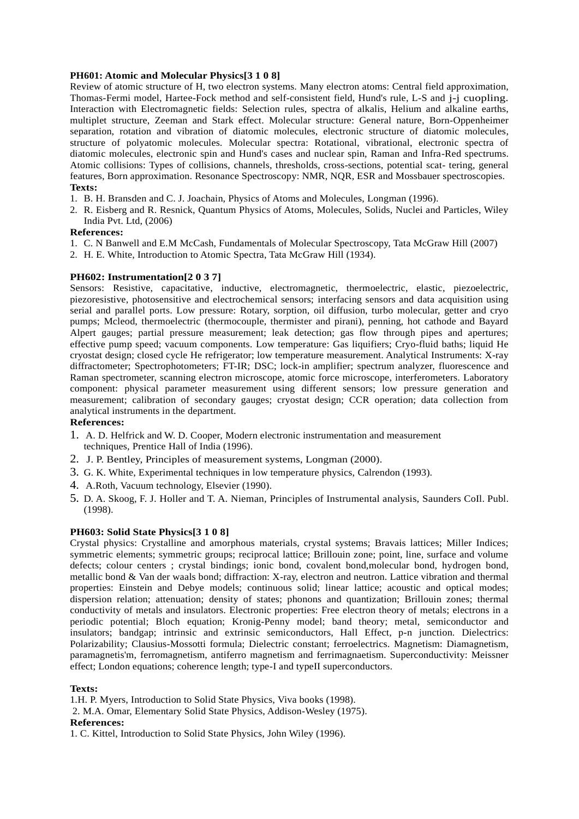### **PH601: Atomic and Molecular Physics[3 1 0 8]**

Review of atomic structure of H, two electron systems. Many electron atoms: Central field approximation, Thomas-Fermi model, Hartee-Fock method and self-consistent field, Hund's rule, L-S and j-j cuopling. Interaction with Electromagnetic fields: Selection rules, spectra of alkalis, Helium and alkaline earths, multiplet structure, Zeeman and Stark effect. Molecular structure: General nature, Born-Oppenheimer separation, rotation and vibration of diatomic molecules, electronic structure of diatomic molecules, structure of polyatomic molecules. Molecular spectra: Rotational, vibrational, electronic spectra of diatomic molecules, electronic spin and Hund's cases and nuclear spin, Raman and Infra-Red spectrums. Atomic collisions: Types of collisions, channels, thresholds, cross-sections, potential scat- tering, general features, Born approximation. Resonance Spectroscopy: NMR, NQR, ESR and Mossbauer spectroscopies. **Texts:**

- 1. B. H. Bransden and C. J. Joachain, Physics of Atoms and Molecules, Longman (1996).
- 2. R. Eisberg and R. Resnick, Quantum Physics of Atoms, Molecules, Solids, Nuclei and Particles, Wiley India Pvt. Ltd, (2006)

### **References:**

- 1. C. N Banwell and E.M McCash, Fundamentals of Molecular Spectroscopy, Tata McGraw Hill (2007)
- 2. H. E. White, Introduction to Atomic Spectra, Tata McGraw Hill (1934).

#### **PH602: Instrumentation[2 0 3 7]**

Sensors: Resistive, capacitative, inductive, electromagnetic, thermoelectric, elastic, piezoelectric, piezoresistive, photosensitive and electrochemical sensors; interfacing sensors and data acquisition using serial and parallel ports. Low pressure: Rotary, sorption, oil diffusion, turbo molecular, getter and cryo pumps; Mcleod, thermoelectric (thermocouple, thermister and pirani), penning, hot cathode and Bayard Alpert gauges; partial pressure measurement; leak detection; gas flow through pipes and apertures; effective pump speed; vacuum components. Low temperature: Gas liquifiers; Cryo-fluid baths; liquid He cryostat design; closed cycle He refrigerator; low temperature measurement. Analytical Instruments: X-ray diffractometer; Spectrophotometers; FT-IR; DSC; lock-in amplifier; spectrum analyzer, fluorescence and Raman spectrometer, scanning electron microscope, atomic force microscope, interferometers. Laboratory component: physical parameter measurement using different sensors; low pressure generation and measurement; calibration of secondary gauges; cryostat design; CCR operation; data collection from analytical instruments in the department.

#### **References:**

- 1. A. D. Helfrick and W. D. Cooper, Modern electronic instrumentation and measurement techniques, Prentice Hall of India (1996).
- 2. J. P. Bentley, Principles of measurement systems, Longman (2000).
- 3. G. K. White, Experimental techniques in low temperature physics, Calrendon (1993).
- 4. A.Roth, Vacuum technology, Elsevier (1990).
- 5. D. A. Skoog, F. J. Holler and T. A. Nieman, Principles of Instrumental analysis, Saunders CoIl. Publ. (1998).

### **PH603: Solid State Physics[3 1 0 8]**

Crystal physics: Crystalline and amorphous materials, crystal systems; Bravais lattices; Miller Indices; symmetric elements; symmetric groups; reciprocal lattice; Brillouin zone; point, line, surface and volume defects; colour centers ; crystal bindings; ionic bond, covalent bond,molecular bond, hydrogen bond, metallic bond & Van der waals bond; diffraction: X-ray, electron and neutron. Lattice vibration and thermal properties: Einstein and Debye models; continuous solid; linear lattice; acoustic and optical modes; dispersion relation; attenuation; density of states; phonons and quantization; Brillouin zones; thermal conductivity of metals and insulators. Electronic properties: Free electron theory of metals; electrons in a periodic potential; Bloch equation; Kronig-Penny model; band theory; metal, semiconductor and insulators; bandgap; intrinsic and extrinsic semiconductors, Hall Effect, p-n junction. Dielectrics: Polarizability; Clausius-Mossotti formula; Dielectric constant; ferroelectrics. Magnetism: Diamagnetism, paramagnetis'm, ferromagnetism, antiferro magnetism and ferrimagnaetism. Superconductivity: Meissner effect; London equations; coherence length; type-I and typeII superconductors.

#### **Texts:**

1.H. P. Myers, Introduction to Solid State Physics, Viva books (1998).

2. M.A. Omar, Elementary Solid State Physics, Addison-Wesley (1975).

# **References:**

1. C. Kittel, Introduction to Solid State Physics, John Wiley (1996).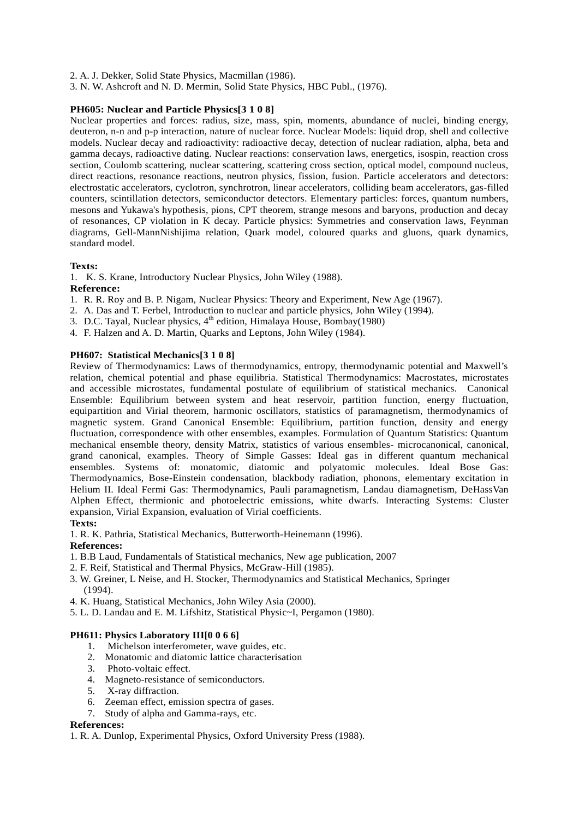2. A. J. Dekker, Solid State Physics, Macmillan (1986).

3. N. W. Ashcroft and N. D. Mermin, Solid State Physics, HBC Publ., (1976).

### **PH605: Nuclear and Particle Physics[3 1 0 8]**

Nuclear properties and forces: radius, size, mass, spin, moments, abundance of nuclei, binding energy, deuteron, n-n and p-p interaction, nature of nuclear force. Nuclear Models: liquid drop, shell and collective models. Nuclear decay and radioactivity: radioactive decay, detection of nuclear radiation, alpha, beta and gamma decays, radioactive dating. Nuclear reactions: conservation laws, energetics, isospin, reaction cross section, Coulomb scattering, nuclear scattering, scattering cross section, optical model, compound nucleus, direct reactions, resonance reactions, neutron physics, fission, fusion. Particle accelerators and detectors: electrostatic accelerators, cyclotron, synchrotron, linear accelerators, colliding beam accelerators, gas-filled counters, scintillation detectors, semiconductor detectors. Elementary particles: forces, quantum numbers, mesons and Yukawa's hypothesis, pions, CPT theorem, strange mesons and baryons, production and decay of resonances, CP violation in K decay. Particle physics: Symmetries and conservation laws, Feynman diagrams, Gell-MannNishijima relation, Quark model, coloured quarks and gluons, quark dynamics, standard model.

### **Texts:**

1. K. S. Krane, Introductory Nuclear Physics, John Wiley (1988).

#### **Reference:**

- 1. R. R. Roy and B. P. Nigam, Nuclear Physics: Theory and Experiment, New Age (1967).
- 2. A. Das and T. Ferbel, Introduction to nuclear and particle physics, John Wiley (1994).
- 3. D.C. Tayal, Nuclear physics,  $4^{th}$  edition, Himalaya House, Bombay(1980)
- 4. F. Halzen and A. D. Martin, Quarks and Leptons, John Wiley (1984).

### **PH607: Statistical Mechanics[3 1 0 8]**

Review of Thermodynamics: Laws of thermodynamics, entropy, thermodynamic potential and Maxwell's relation, chemical potential and phase equilibria. Statistical Thermodynamics: Macrostates, microstates and accessible microstates, fundamental postulate of equilibrium of statistical mechanics. Canonical Ensemble: Equilibrium between system and heat reservoir, partition function, energy fluctuation, equipartition and Virial theorem, harmonic oscillators, statistics of paramagnetism, thermodynamics of magnetic system. Grand Canonical Ensemble: Equilibrium, partition function, density and energy fluctuation, correspondence with other ensembles, examples. Formulation of Quantum Statistics: Quantum mechanical ensemble theory, density Matrix, statistics of various ensembles- microcanonical, canonical, grand canonical, examples. Theory of Simple Gasses: Ideal gas in different quantum mechanical ensembles. Systems of: monatomic, diatomic and polyatomic molecules. Ideal Bose Gas: Thermodynamics, Bose-Einstein condensation, blackbody radiation, phonons, elementary excitation in Helium II. Ideal Fermi Gas: Thermodynamics, Pauli paramagnetism, Landau diamagnetism, DeHassVan Alphen Effect, thermionic and photoelectric emissions, white dwarfs. Interacting Systems: Cluster expansion, Virial Expansion, evaluation of Virial coefficients.

#### **Texts:**

1. R. K. Pathria, Statistical Mechanics, Butterworth-Heinemann (1996).

#### **References:**

- 1. B.B Laud, Fundamentals of Statistical mechanics, New age publication, 2007
- 2. F. Reif, Statistical and Thermal Physics, McGraw-Hill (1985).
- 3. W. Greiner, L Neise, and H. Stocker, Thermodynamics and Statistical Mechanics, Springer (1994).
- 4. K. Huang, Statistical Mechanics, John Wiley Asia (2000).
- 5. L. D. Landau and E. M. Lifshitz, Statistical Physic~I, Pergamon (1980).

# **PH611: Physics Laboratory III[0 0 6 6]**

- 1. Michelson interferometer, wave guides, etc.
- 2. Monatomic and diatomic lattice characterisation
- 3. Photo-voltaic effect.
- 4. Magneto-resistance of semiconductors.
- 5. X-ray diffraction.
- 6. Zeeman effect, emission spectra of gases.
- 7. Study of alpha and Gamma-rays, etc.

# **References:**

1. R. A. Dunlop, Experimental Physics, Oxford University Press (1988).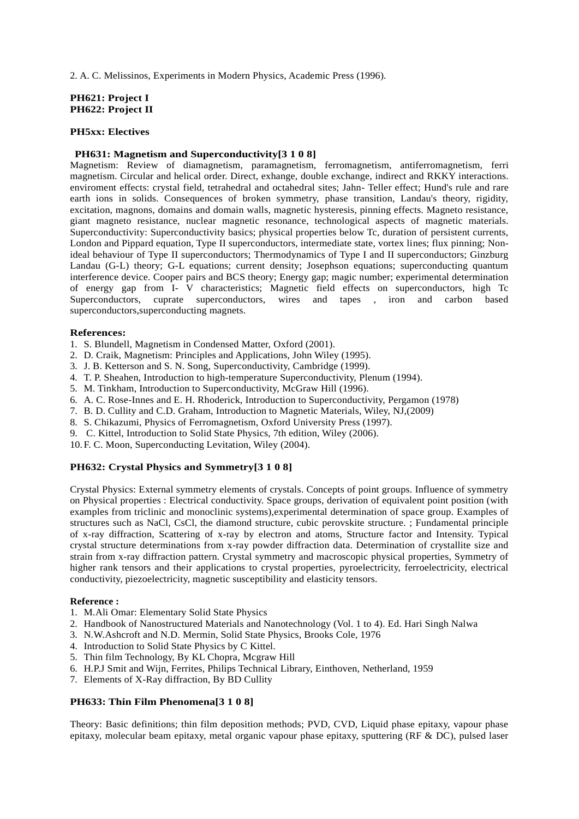2. A. C. Melissinos, Experiments in Modern Physics, Academic Press (1996).

### **PH621: Project I PH622: Project II**

### **PH5xx: Electives**

# **PH631: Magnetism and Superconductivity[3 1 0 8]**

Magnetism: Review of diamagnetism, paramagnetism, ferromagnetism, antiferromagnetism, ferri magnetism. Circular and helical order. Direct, exhange, double exchange, indirect and RKKY interactions. enviroment effects: crystal field, tetrahedral and octahedral sites; Jahn- Teller effect; Hund's rule and rare earth ions in solids. Consequences of broken symmetry, phase transition, Landau's theory, rigidity, excitation, magnons, domains and domain walls, magnetic hysteresis, pinning effects. Magneto resistance, giant magneto resistance, nuclear magnetic resonance, technological aspects of magnetic materials. Superconductivity: Superconductivity basics; physical properties below Tc, duration of persistent currents, London and Pippard equation, Type II superconductors, intermediate state, vortex lines; flux pinning; Nonideal behaviour of Type II superconductors; Thermodynamics of Type I and II superconductors; Ginzburg Landau (G-L) theory; G-L equations; current density; Josephson equations; superconducting quantum interference device. Cooper pairs and BCS theory; Energy gap; magic number; experimental determination of energy gap from I- V characteristics; Magnetic field effects on superconductors, high Tc Superconductors, cuprate superconductors, wires and tapes , iron and carbon based superconductors,superconducting magnets.

#### **References:**

- 1. S. Blundell, Magnetism in Condensed Matter, Oxford (2001).
- 2. D. Craik, Magnetism: Principles and Applications, John Wiley (1995).
- 3. J. B. Ketterson and S. N. Song, Superconductivity, Cambridge (1999).
- 4. T. P. Sheahen, Introduction to high-temperature Superconductivity, Plenum (1994).
- 5. M. Tinkham, Introduction to Superconductivity, McGraw Hill (1996).
- 6. A. C. Rose-Innes and E. H. Rhoderick, Introduction to Superconductivity, Pergamon (1978)
- 7. B. D. Cullity and C.D. Graham, Introduction to Magnetic Materials, Wiley, NJ,(2009)
- 8. S. Chikazumi, Physics of Ferromagnetism, Oxford University Press (1997).
- 9. C. Kittel, Introduction to Solid State Physics, 7th edition, Wiley (2006).
- 10.F. C. Moon, Superconducting Levitation, Wiley (2004).

### **PH632: Crystal Physics and Symmetry[3 1 0 8]**

Crystal Physics: External symmetry elements of crystals. Concepts of point groups. Influence of symmetry on Physical properties : Electrical conductivity. Space groups, derivation of equivalent point position (with examples from triclinic and monoclinic systems),experimental determination of space group. Examples of structures such as NaCl, CsCl, the diamond structure, cubic perovskite structure. ; Fundamental principle of x-ray diffraction, Scattering of x-ray by electron and atoms, Structure factor and Intensity. Typical crystal structure determinations from x-ray powder diffraction data. Determination of crystallite size and strain from x-ray diffraction pattern. Crystal symmetry and macroscopic physical properties, Symmetry of higher rank tensors and their applications to crystal properties, pyroelectricity, ferroelectricity, electrical conductivity, piezoelectricity, magnetic susceptibility and elasticity tensors.

#### **Reference :**

- 1. M.Ali Omar: Elementary Solid State Physics
- 2. Handbook of Nanostructured Materials and Nanotechnology (Vol. 1 to 4). Ed. Hari Singh Nalwa
- 3. N.W.Ashcroft and N.D. Mermin, Solid State Physics, Brooks Cole, 1976
- 4. Introduction to Solid State Physics by C Kittel.
- 5. Thin film Technology, By KL Chopra, Mcgraw Hill
- 6. H.P.J Smit and Wijn, Ferrites, Philips Technical Library, Einthoven, Netherland, 1959
- 7. Elements of X-Ray diffraction, By BD Cullity

#### **PH633: Thin Film Phenomena[3 1 0 8]**

Theory: Basic definitions; thin film deposition methods; PVD, CVD, Liquid phase epitaxy, vapour phase epitaxy, molecular beam epitaxy, metal organic vapour phase epitaxy, sputtering (RF & DC), pulsed laser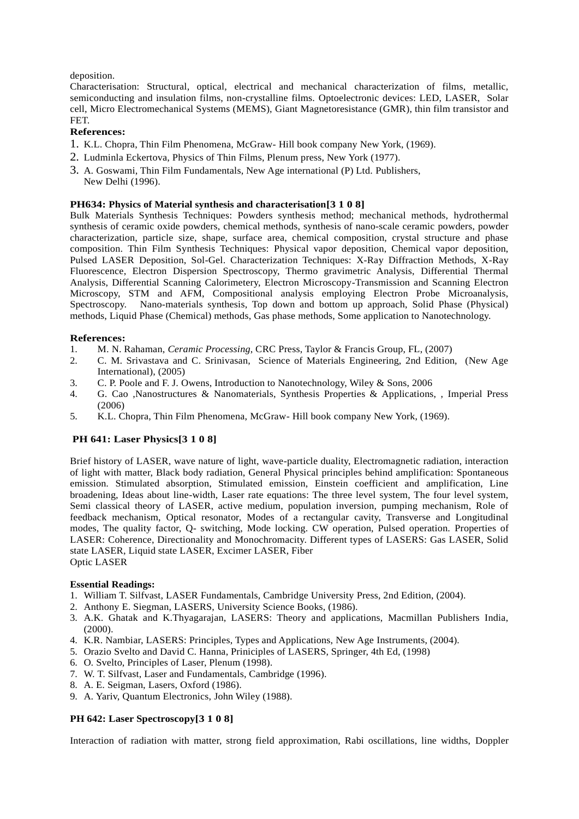# deposition.

Characterisation: Structural, optical, electrical and mechanical characterization of films, metallic, semiconducting and insulation films, non-crystalline films. Optoelectronic devices: LED, LASER, Solar cell, Micro Electromechanical Systems (MEMS), Giant Magnetoresistance (GMR), thin film transistor and FET.

# **References:**

- 1. K.L. Chopra, Thin Film Phenomena, McGraw- Hill book company New York, (1969).
- 2. Ludminla Eckertova, Physics of Thin Films, Plenum press, New York (1977).
- 3. A. Goswami, Thin Film Fundamentals, New Age international (P) Ltd. Publishers, New Delhi (1996).

# **PH634: Physics of Material synthesis and characterisation[3 1 0 8]**

Bulk Materials Synthesis Techniques: Powders synthesis method; mechanical methods, hydrothermal synthesis of ceramic oxide powders, chemical methods, synthesis of nano-scale ceramic powders, powder characterization, particle size, shape, surface area, chemical composition, crystal structure and phase composition. Thin Film Synthesis Techniques: Physical vapor deposition, Chemical vapor deposition, Pulsed LASER Deposition, Sol-Gel. Characterization Techniques: X-Ray Diffraction Methods, X-Ray Fluorescence, Electron Dispersion Spectroscopy, Thermo gravimetric Analysis, Differential Thermal Analysis, Differential Scanning Calorimetery, Electron Microscopy-Transmission and Scanning Electron Microscopy, STM and AFM, Compositional analysis employing Electron Probe Microanalysis, Spectroscopy. Nano-materials synthesis, Top down and bottom up approach, Solid Phase (Physical) methods, Liquid Phase (Chemical) methods, Gas phase methods, Some application to Nanotechnology.

# **References:**

- 1. M. N. Rahaman, *Ceramic Processing*, CRC Press, Taylor & Francis Group, FL, (2007)
- 2. C. M. Srivastava and C. Srinivasan, Science of Materials Engineering, 2nd Edition, (New Age International), (2005)
- 3. C. P. Poole and F. J. Owens, Introduction to Nanotechnology, Wiley & Sons, 2006
- 4. G. Cao ,Nanostructures & Nanomaterials, Synthesis Properties & Applications, , Imperial Press (2006)
- 5. K.L. Chopra, Thin Film Phenomena, McGraw- Hill book company New York, (1969).

# **PH 641: Laser Physics[3 1 0 8]**

Brief history of LASER, wave nature of light, wave-particle duality, Electromagnetic radiation, interaction of light with matter, Black body radiation, General Physical principles behind amplification: Spontaneous emission. Stimulated absorption, Stimulated emission, Einstein coefficient and amplification, Line broadening, Ideas about line-width, Laser rate equations: The three level system, The four level system, Semi classical theory of LASER, active medium, population inversion, pumping mechanism, Role of feedback mechanism, Optical resonator, Modes of a rectangular cavity, Transverse and Longitudinal modes, The quality factor, Q- switching, Mode locking. CW operation, Pulsed operation. Properties of LASER: Coherence, Directionality and Monochromacity. Different types of LASERS: Gas LASER, Solid state LASER, Liquid state LASER, Excimer LASER, Fiber Optic LASER

# **Essential Readings:**

- 1. William T. Silfvast, LASER Fundamentals, Cambridge University Press, 2nd Edition, (2004).
- 2. Anthony E. Siegman, LASERS, University Science Books, (1986).
- 3. A.K. Ghatak and K.Thyagarajan, LASERS: Theory and applications, Macmillan Publishers India, (2000).
- 4. K.R. Nambiar, LASERS: Principles, Types and Applications, New Age Instruments, (2004).
- 5. Orazio Svelto and David C. Hanna, Priniciples of LASERS, Springer, 4th Ed, (1998)
- 6. O. Svelto, Principles of Laser, Plenum (1998).
- 7. W. T. Silfvast, Laser and Fundamentals, Cambridge (1996).
- 8. A. E. Seigman, Lasers, Oxford (1986).
- 9. A. Yariv, Quantum Electronics, John Wiley (1988).

# **PH 642: Laser Spectroscopy[3 1 0 8]**

Interaction of radiation with matter, strong field approximation, Rabi oscillations, line widths, Doppler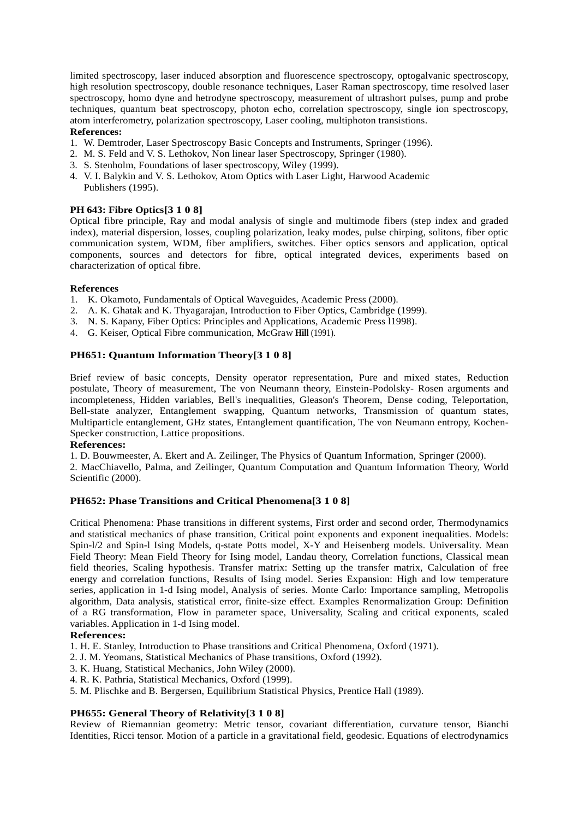limited spectroscopy, laser induced absorption and fluorescence spectroscopy, optogalvanic spectroscopy, high resolution spectroscopy, double resonance techniques, Laser Raman spectroscopy, time resolved laser spectroscopy, homo dyne and hetrodyne spectroscopy, measurement of ultrashort pulses, pump and probe techniques, quantum beat spectroscopy, photon echo, correlation spectroscopy, single ion spectroscopy, atom interferometry, polarization spectroscopy, Laser cooling, multiphoton transistions.

# **References:**

- 1. W. Demtroder, Laser Spectroscopy Basic Concepts and Instruments, Springer (1996).
- 2. M. S. Feld and V. S. Lethokov, Non linear laser Spectroscopy, Springer (1980).
- 3. S. Stenholm, Foundations of laser spectroscopy, Wiley (1999).
- 4. V. I. Balykin and V. S. Lethokov, Atom Optics with Laser Light, Harwood Academic Publishers (1995).

# **PH 643: Fibre Optics[3 1 0 8]**

Optical fibre principle, Ray and modal analysis of single and multimode fibers (step index and graded index), material dispersion, losses, coupling polarization, leaky modes, pulse chirping, solitons, fiber optic communication system, WDM, fiber amplifiers, switches. Fiber optics sensors and application, optical components, sources and detectors for fibre, optical integrated devices, experiments based on characterization of optical fibre.

### **References**

- 1. K. Okamoto, Fundamentals of Optical Waveguides, Academic Press (2000).
- 2. A. K. Ghatak and K. Thyagarajan, Introduction to Fiber Optics, Cambridge (1999).
- 3. N. S. Kapany, Fiber Optics: Principles and Applications, Academic Press l1998).
- 4. G. Keiser, Optical Fibre communication, McGraw **Hill** (1991).

# **PH651: Quantum Information Theory[3 1 0 8]**

Brief review of basic concepts, Density operator representation, Pure and mixed states, Reduction postulate, Theory of measurement, The von Neumann theory, Einstein-Podolsky- Rosen arguments and incompleteness, Hidden variables, Bell's inequalities, Gleason's Theorem, Dense coding, Teleportation, Bell-state analyzer, Entanglement swapping, Quantum networks, Transmission of quantum states, Multiparticle entanglement, GHz states, Entanglement quantification, The von Neumann entropy, Kochen- Specker construction, Lattice propositions.

#### **References:**

1. D. Bouwmeester, A. Ekert and A. Zeilinger, The Physics of Quantum Information, Springer (2000).

2. MacChiavello, Palma, and Zeilinger, Quantum Computation and Quantum Information Theory, World Scientific (2000).

# **PH652: Phase Transitions and Critical Phenomena[3 1 0 8]**

Critical Phenomena: Phase transitions in different systems, First order and second order, Thermodynamics and statistical mechanics of phase transition, Critical point exponents and exponent inequalities. Models: Spin-l/2 and Spin-l Ising Models, q-state Potts model, X-Y and Heisenberg models. Universality. Mean Field Theory: Mean Field Theory for Ising model, Landau theory, Correlation functions, Classical mean field theories, Scaling hypothesis. Transfer matrix: Setting up the transfer matrix, Calculation of free energy and correlation functions, Results of Ising model. Series Expansion: High and low temperature series, application in 1-d Ising model, Analysis of series. Monte Carlo: Importance sampling, Metropolis algorithm, Data analysis, statistical error, finite-size effect. Examples Renormalization Group: Definition of a RG transformation, Flow in parameter space, Universality, Scaling and critical exponents, scaled variables. Application in 1-d Ising model.

#### **References:**

- 1. H. E. Stanley, Introduction to Phase transitions and Critical Phenomena, Oxford (1971).
- 2. J. M. Yeomans, Statistical Mechanics of Phase transitions, Oxford (1992).
- 3. K. Huang, Statistical Mechanics, John Wiley (2000).
- 4. R. K. Pathria, Statistical Mechanics, Oxford (1999).
- 5. M. Plischke and B. Bergersen, Equilibrium Statistical Physics, Prentice Hall (1989).

# **PH655: General Theory of Relativity[3 1 0 8]**

Review of Riemannian geometry: Metric tensor, covariant differentiation, curvature tensor, Bianchi Identities, Ricci tensor. Motion of a particle in a gravitational field, geodesic. Equations of electrodynamics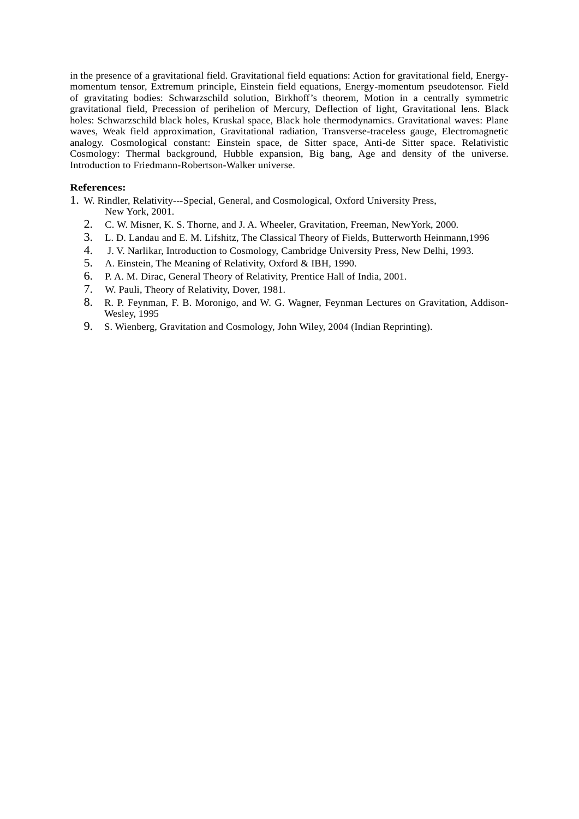in the presence of a gravitational field. Gravitational field equations: Action for gravitational field, Energy momentum tensor, Extremum principle, Einstein field equations, Energy-momentum pseudotensor. Field of gravitating bodies: Schwarzschild solution, Birkhoff's theorem, Motion in a centrally symmetric gravitational field, Precession of perihelion of Mercury, Deflection of light, Gravitational lens. Black holes: Schwarzschild black holes, Kruskal space, Black hole thermodynamics. Gravitational waves: Plane waves, Weak field approximation, Gravitational radiation, Transverse-traceless gauge, Electromagnetic analogy. Cosmological constant: Einstein space, de Sitter space, Anti-de Sitter space. Relativistic Cosmology: Thermal background, Hubble expansion, Big bang, Age and density of the universe. Introduction to Friedmann-Robertson-Walker universe.

### **References:**

- 1. W. Rindler, Relativity---Special, General, and Cosmological, Oxford University Press, New York, 2001.
	- 2. C. W. Misner, K. S. Thorne, and J. A. Wheeler, Gravitation, Freeman, NewYork, 2000.
	- 3. L. D. Landau and E. M. Lifshitz, The Classical Theory of Fields, Butterworth Heinmann,1996
	- 4. J. V. Narlikar, Introduction to Cosmology, Cambridge University Press, New Delhi, 1993.
	- 5. A. Einstein, The Meaning of Relativity, Oxford & IBH, 1990.
	- 6. P. A. M. Dirac, General Theory of Relativity, Prentice Hall of India, 2001.
	- 7. W. Pauli, Theory of Relativity, Dover, 1981.
	- 8. R. P. Feynman, F. B. Moronigo, and W. G. Wagner, Feynman Lectures on Gravitation, Addison- Wesley, 1995
	- 9. S. Wienberg, Gravitation and Cosmology, John Wiley, 2004 (Indian Reprinting).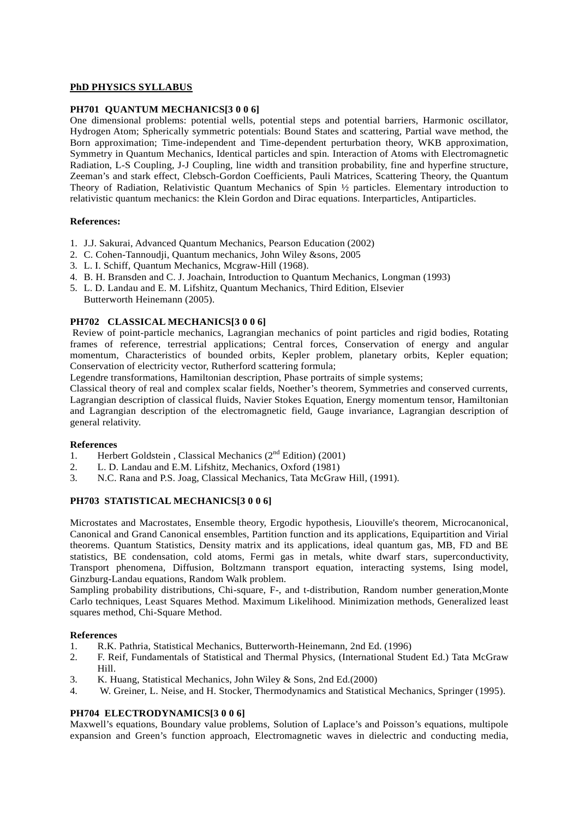# **PhD PHYSICS SYLLABUS**

# **PH701 QUANTUM MECHANICS[3 0 0 6]**

One dimensional problems: potential wells, potential steps and potential barriers, Harmonic oscillator, Hydrogen Atom; Spherically symmetric potentials: Bound States and scattering, Partial wave method, the Born approximation; Time-independent and Time-dependent perturbation theory, WKB approximation, Symmetry in Quantum Mechanics, Identical particles and spin. Interaction of Atoms with Electromagnetic Radiation, L-S Coupling, J-J Coupling, line width and transition probability, fine and hyperfine structure, Zeeman's and stark effect, Clebsch-Gordon Coefficients, Pauli Matrices, Scattering Theory, the Quantum Theory of Radiation, Relativistic Quantum Mechanics of Spin ½ particles. Elementary introduction to relativistic quantum mechanics: the Klein Gordon and Dirac equations. Interparticles, Antiparticles.

# **References:**

- 1. J.J. Sakurai, Advanced Quantum Mechanics, Pearson Education (2002)
- 2. C. Cohen-Tannoudji, Quantum mechanics, John Wiley &sons, 2005
- 3. L. I. Schiff, Quantum Mechanics, Mcgraw-Hill (1968).
- 4. B. H. Bransden and C. J. Joachain, Introduction to Quantum Mechanics, Longman (1993)
- 5. L. D. Landau and E. M. Lifshitz, Quantum Mechanics, Third Edition, Elsevier Butterworth Heinemann (2005).

# **PH702 CLASSICAL MECHANICS[3 0 0 6]**

Review of point-particle mechanics, Lagrangian mechanics of point particles and rigid bodies, Rotating frames of reference, terrestrial applications; Central forces, Conservation of energy and angular momentum, Characteristics of bounded orbits, Kepler problem, planetary orbits, Kepler equation; Conservation of electricity vector, Rutherford scattering formula;

Legendre transformations, Hamiltonian description, Phase portraits of simple systems;

Classical theory of real and complex scalar fields, Noether's theorem, Symmetries and conserved currents, Lagrangian description of classical fluids, Navier Stokes Equation, Energy momentum tensor, Hamiltonian and Lagrangian description of the electromagnetic field, Gauge invariance, Lagrangian description of general relativity.

# **References**

- 1. Herbert Goldstein , Classical Mechanics  $(2^{nd}$  Edition) (2001)
- 2. L. D. Landau and E.M. Lifshitz, Mechanics, Oxford (1981)
- 3. N.C. Rana and P.S. Joag, Classical Mechanics, Tata McGraw Hill, (1991).

# **PH703 STATISTICAL MECHANICS[3 0 0 6]**

Microstates and Macrostates, Ensemble theory, Ergodic hypothesis, Liouville's theorem, Microcanonical, Canonical and Grand Canonical ensembles, Partition function and its applications, Equipartition and Virial theorems. Quantum Statistics, Density matrix and its applications, ideal quantum gas, MB, FD and BE statistics, BE condensation, cold atoms, Fermi gas in metals, white dwarf stars, superconductivity, Transport phenomena, Diffusion, Boltzmann transport equation, interacting systems, Ising model, Ginzburg-Landau equations, Random Walk problem.

Sampling probability distributions, Chi-square, F-, and t-distribution, Random number generation,Monte Carlo techniques, Least Squares Method. Maximum Likelihood. Minimization methods, Generalized least squares method, Chi-Square Method.

# **References**

- 1. R.K. Pathria, Statistical Mechanics, Butterworth-Heinemann, 2nd Ed. (1996)
- 2. F. Reif, Fundamentals of Statistical and Thermal Physics, (International Student Ed.) Tata McGraw Hill.
- 3. K. Huang, Statistical Mechanics, John Wiley & Sons, 2nd Ed.(2000)
- 4. W. Greiner, L. Neise, and H. Stocker, Thermodynamics and Statistical Mechanics, Springer (1995).

# **PH704 ELECTRODYNAMICS[3 0 0 6]**

Maxwell's equations, Boundary value problems, Solution of Laplace's and Poisson's equations, multipole expansion and Green's function approach, Electromagnetic waves in dielectric and conducting media,